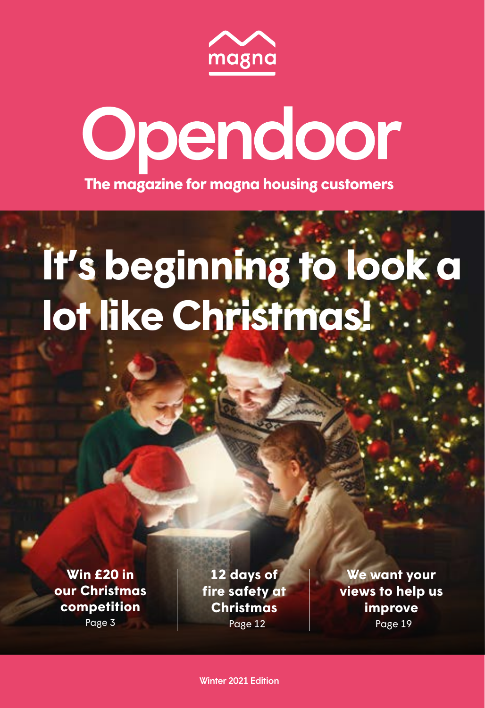

# Opendoor **The magazine for magna housing customers**

# **It's beginning to look a lot like Christmas!**

**Win £20 in [our Christmas](#page-1-0)  competition**

Page 3

Page 12 **12 days of [fire safety at](#page-6-0)  Christmas**

**We want your [views to help us](#page-9-0)  improve** Page 19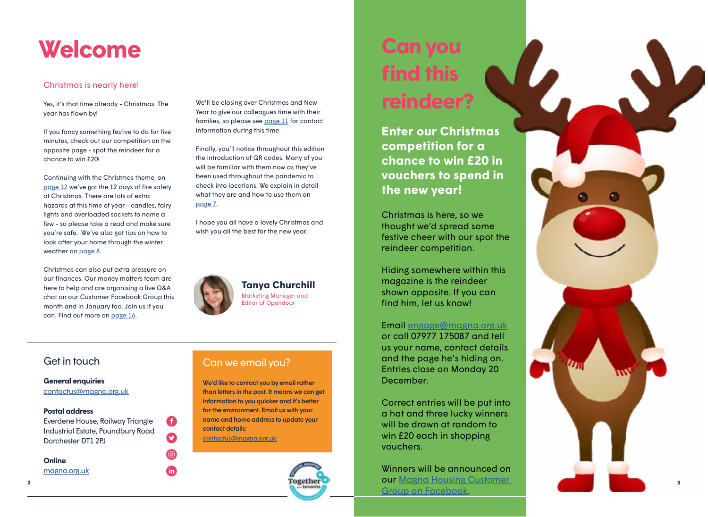## <span id="page-1-0"></span>**Welcome Can you**

#### Christmas is nearly here!

Yes, it's that time already - Christmas. The year has flown by!

If you fancy something festive to do for five minutes, check out our competition on the opposite page - spot the reindeer for a chance to win £20!

Continuing with the Christmas theme, on [page 12](#page-6-0) we've got the 12 days of fire safety at Christmas. There are lots of extra hazards at this time of year - candles, fairy lights and overloaded sockets to name a few - so please take a read and make sure you're safe. We've also got tips on how to look after your home through the winter weather on <u>page 8</u>.

Christmas can also put extra pressure on our finances. Our money matters team are here to help and are organising a live Q&A chat on our Customer Facebook Group this month and in January too. Join us if you can. Find out more on [page 16](#page-8-0).

We'll be closing over Christmas and New Year to give our colleagues time with their families, so please see [page 11](#page-5-0) for contact information during this time.

Finally, you'll notice throughout this edition the introduction of QR codes. Many of you will be familiar with them now as they've been used throughout the pandemic to check into locations. We explain in detail what they are and how to use them on [page 7](#page-3-0) .

I hope you all have a lovely Christmas and wish you all the best for the new year.



G

 $\mathbf{O}$ 

 $\odot$ 

**th** 

**Tanya Churchill** Marketing Manager and Editor of Opendoor

**General enquiries** [contactus@magna.org.uk](mailto:contactus%40magna.org.uk?subject=)

#### **Postal address**

Everdene House, Railway Triangle Industrial Estate, Poundbury Road Dorchester DT1 2PJ

**Online**

[magna.org.uk](http://www.magna.org.uk)

#### Get in touch Can we email you?

We'd like to contact you by email rather than letters in the post. It means we can get information to you quicker and it's better for the environment. Email us with your name and home address to update your contact details: contactus [@magna.org.uk](mailto:contactus%40magna.org.uk?subject=)



# **find this reindeer?**

**Enter our Christmas competition for a chance to win £20 in vouchers to spend in the new year!**

Christmas is here, so we thought we'd spread some festive cheer with our spot the reindeer competition.

Hiding somewhere within this magazine is the reindeer shown opposite. If you can find him, let us know!

Email [engage@magna.org.uk](mailto:engage%40magna.org.uk?subject=) or call 07977 175087 and tell us your name, contact details and the page he's hiding on. Entries close on Monday 20

December.

Correct entries will be put into a hat and three lucky winners will be drawn at random to win £20 each in shopping vouchers.

Winners will be announced on our [Magna Housing Customer](https://www.facebook.com/groups/255936712090688)  [Group on Facebook](https://www.facebook.com/groups/255936712090688) .

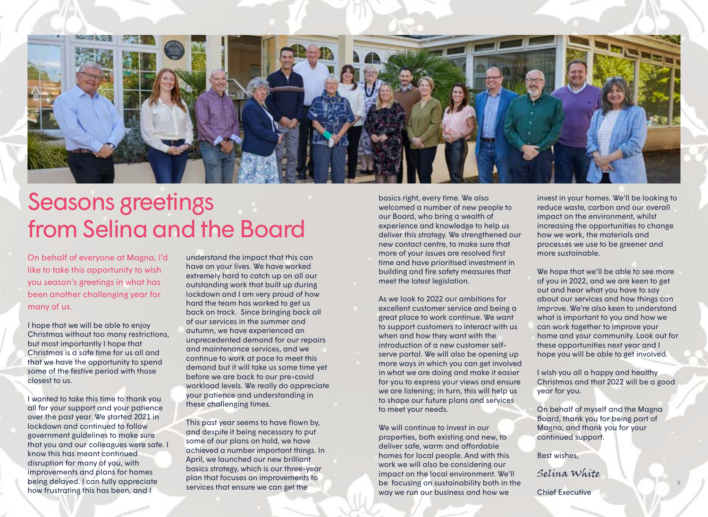

## Seasons greetings from Selina and the Board

On behalf of everyone at Magna, I'd like to take this opportunity to wish you season's greetings in what has been another challenging year for many of us.

I hope that we will be able to enjoy Christmas without too many restrictions, but most importantly I hope that Christmas is a safe time for us all and that we have the opportunity to spend some of the festive period with those closest to us.

**be focusing on sustainability both in the** the second that contains the second the second be focusing on sustainability both in the second that contains the second of the second that contains and the second of the second I wanted to take this time to thank you all for your support and your patience over the past year. We started 2021 in lockdown and continued to follow government guidelines to make sure that you and our colleagues were safe. I know this has meant continued disruption for many of you, with improvements and plans for homes being delayed. I can fully appreciate how frustrating this has been, and I

understand the impact that this can have on your lives. We have worked extremely hard to catch up on all our outstanding work that built up during lockdown and I am very proud of how hard the team has worked to get us back on track. Since bringing back all of our services in the summer and autumn, we have experienced an unprecedented demand for our repairs and maintenance services, and we continue to work at pace to meet this demand but it will take us some time yet before we are back to our pre-covid workload levels. We really do appreciate your patience and understanding in these challenging times.

This past year seems to have flown by, and despite it being necessary to put some of our plans on hold, we have achieved a number important things. In April, we launched our new brilliant basics strategy, which is our three-year plan that focuses on improvements to services that ensure we can get the

basics right, every time. We also welcomed a number of new people to our Board, who bring a wealth of experience and knowledge to help us deliver this strategy. We strengthened our new contact centre, to make sure that more of your issues are resolved first time and have prioritised investment in building and fire safety measures that meet the latest legislation.

As we look to 2022 our ambitions for excellent customer service and being a great place to work continue. We want to support customers to interact with us when and how they want with the introduction of a new customer selfserve portal. We will also be opening up more ways in which you can get involved in what we are doing and make it easier for you to express your views and ensure we are listening; in turn, this will help us to shape our future plans and services to meet your needs.

We will continue to invest in our properties, both existing and new, to deliver safe, warm and affordable homes for local people. And with this work we will also be considering our impact on the local environment. We'll way we run our business and how we

invest in your homes. We'll be looking to reduce waste, carbon and our overall impact on the environment, whilst increasing the opportunities to change how we work, the materials and processes we use to be greener and more sustainable.

We hope that we'll be able to see more of you in 2022, and we are keen to get out and hear what you have to say about our services and how things can improve. We're also keen to understand what is important to you and how we can work together to improve your home and your community. Look out for these opportunities next year and I hope you will be able to get involved.

I wish you all a happy and healthy Christmas and that 2022 will be a good year for you.

On behalf of myself and the Magna Board, thank you for being part of Magna, and thank you for your continued support.

Best wishes,

Selina White

Chief Executive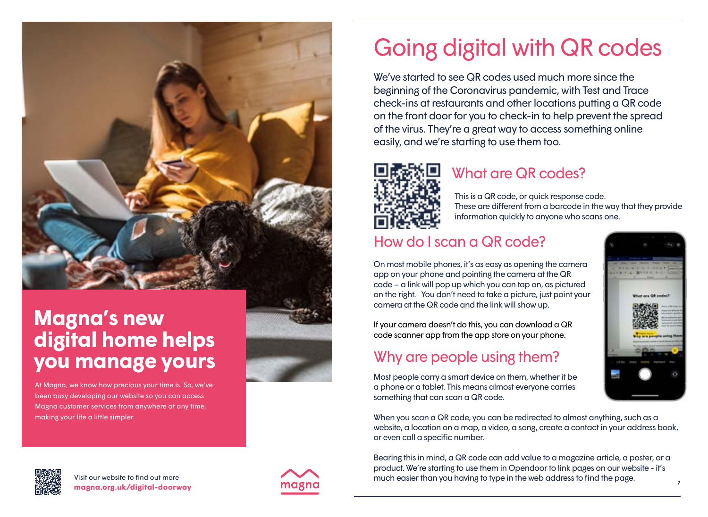<span id="page-3-0"></span>

## **Magna's new digital home helps you manage yours**

At Magna, we know how precious your time is. So, we've been busy developing our website so you can access Magna customer services from anywhere at any time, making your life a little simpler.

# Going digital with QR codes

We've started to see QR codes used much more since the beginning of the Coronavirus pandemic, with Test and Trace check-ins at restaurants and other locations putting a QR code on the front door for you to check-in to help prevent the spread of the virus. They're a great way to access something online easily, and we're starting to use them too.



## What are QR codes?

This is a QR code, or quick response code. These are different from a barcode in the way that they provide information quickly to anyone who scans one.

## How do I scan a QR code?

On most mobile phones, it's as easy as opening the camera app on your phone and pointing the camera at the QR code – a link will pop up which you can tap on, as pictured on the right. You don't need to take a picture, just point your camera at the QR code and the link will show up.

If your camera doesn't do this, you can download a QR code scanner app from the app store on your phone.

## Why are people using them?

Most people carry a smart device on them, whether it be a phone or a tablet. This means almost everyone carries something that can scan a QR code.

When you scan a QR code, you can be redirected to almost anything, such as a website, a location on a map, a video, a song, create a contact in your address book, or even call a specific number.

Bearing this in mind, a QR code can add value to a magazine article, a poster, or a product. We're starting to use them in Opendoor to link pages on our website - it's much easier than you having to type in the web address to find the page.





**<sup>6</sup> <sup>7</sup> magna.org.uk/digital-doorway** Visit our website to find out more

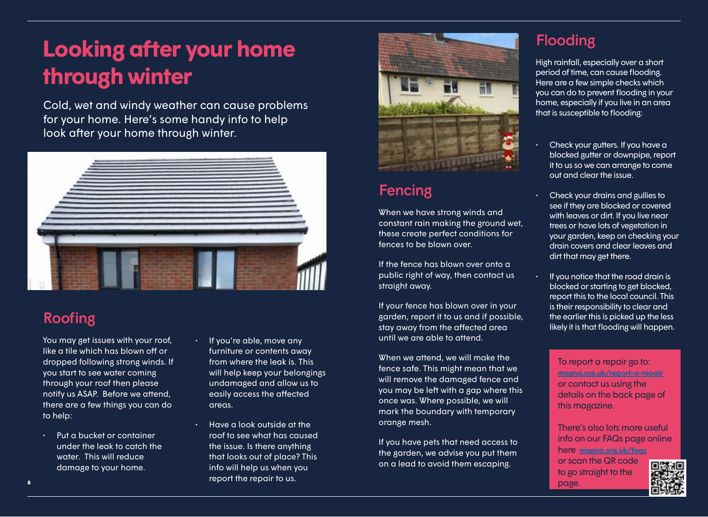# <span id="page-4-0"></span>**Looking after your home through winter**

Cold, wet and windy weather can cause problems for your home. Here's some handy info to help look after your home through winter.



## Roofing

You may get issues with your roof, like a tile which has blown off or dropped following strong winds. If you start to see water coming through your roof then please notify us ASAP. Before we attend, there are a few things you can do to help:

- Put a bucket or container under the leak to catch the water. This will reduce damage to your home.
- If you're able, move any furniture or contents away from where the leak is. This will help keep your belongings undamaged and allow us to easily access the affected areas.
- Have a look outside at the roof to see what has caused the issue. Is there anything that looks out of place? This info will help us when you report the repair to us. 8 **b** and the contract of the contract of the contract of the contract of the contract of the contract of the contract of the contract of the contract of the contract of the contract of the contract of the contract of the



## Fencing

When we have strong winds and constant rain making the ground wet, these create perfect conditions for fences to be blown over.

If the fence has blown over onto a public right of way, then contact us straight away.

If your fence has blown over in your garden, report it to us and if possible, stay away from the affected area until we are able to attend.

When we attend, we will make the fence safe. This might mean that we will remove the damaged fence and you may be left with a gap where this once was. Where possible, we will mark the boundary with temporary orange mesh.

If you have pets that need access to the garden, we advise you put them on a lead to avoid them escaping.

## Flooding

High rainfall, especially over a short period of time, can cause flooding. Here are a few simple checks which you can do to prevent flooding in your home, especially if you live in an area that is susceptible to flooding:

- Check your gutters. If you have a blocked gutter or downpipe, report it to us so we can arrange to come out and clear the issue.
- Check your drains and gullies to see if they are blocked or covered with leaves or dirt. If you live near trees or have lots of vegetation in your garden, keep on checking your drain covers and clear leaves and dirt that may get there.
- If you notice that the road drain is blocked or starting to get blocked, report this to the local council. This is their responsibility to clear and the earlier this is picked up the less likely it is that flooding will happen.

To report a repair go to: **[magna.org.uk/report-a-repair](https://www.magna.org.uk/your-home/repairs/report-a-repair)** or contact us using the details on the back page of this magazine.

There's also lots more useful info on our FAQs page online here **[magna.org.uk/faqs](www.magna.org.uk/faqs)**

or scan the QR code to go straight to the

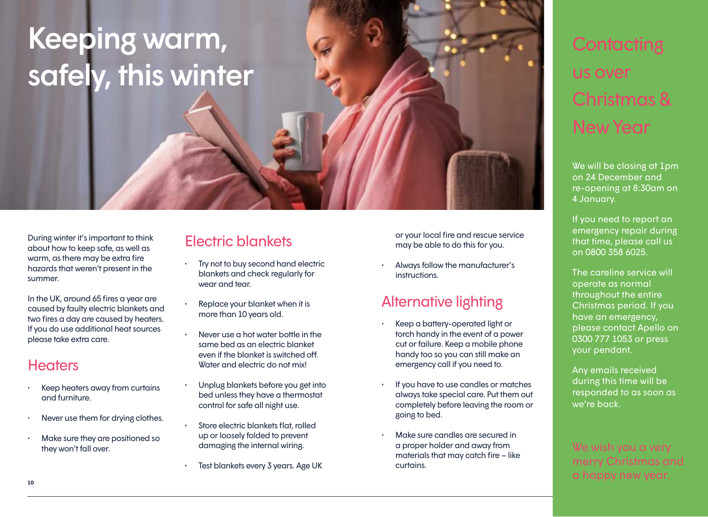# <span id="page-5-0"></span>Keeping warm, safely, this winter

During winter it's important to think about how to keep safe, as well as warm, as there may be extra fire hazards that weren't present in the summer.

In the UK, around 65 fires a year are caused by faulty electric blankets and two fires a day are caused by heaters. If you do use additional heat sources please take extra care.

### **Heaters**

- Keep heaters away from curtains and furniture.
- Never use them for drying clothes.
- Make sure they are positioned so they won't fall over.

## Electric blankets

- Try not to buy second hand electric blankets and check regularly for wear and tear.
- Replace your blanket when it is more than 10 years old.
- Never use a hot water bottle in the same bed as an electric blanket even if the blanket is switched off. Water and electric do not mix!
- Unplug blankets before you get into bed unless they have a thermostat control for safe all night use.
- Store electric blankets flat, rolled up or loosely folded to prevent damaging the internal wiring.
- Test blankets every 3 years. Age UK

or your local fire and rescue service may be able to do this for you.

• Always follow the manufacturer's instructions.

## Alternative lighting

- Keep a battery-operated light or torch handy in the event of a power cut or failure. Keep a mobile phone handy too so you can still make an emergency call if you need to.
- If you have to use candles or matches always take special care. Put them out completely before leaving the room or going to bed.
- Make sure candles are secured in a proper holder and away from materials that may catch fire – like curtains.

# **Contacting** us over Christmas & New Year

We will be closing at 1pm on 24 December and re-opening at 8:30am on 4 January.

If you need to report an emergency repair during that time, please call us on 0800 358 6025.

The careline service will operate as normal throughout the entire Christmas period. If you have an emergency, please contact Apello on 0300 777 1053 or press your pendant.

Any emails received during this time will be responded to as soon as we're back.

#### **10 11** We wish you a very merry Christmas and a happy new year.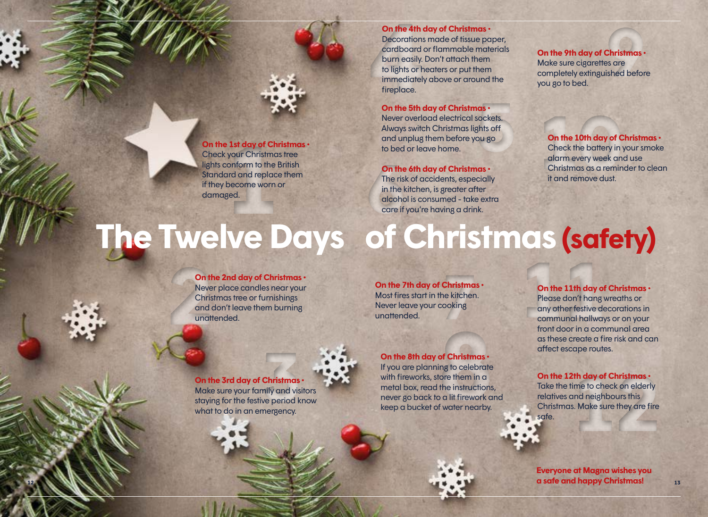#### **On the 4th day of Christmas •**

**On the 4th**<br>Decorations<br>cardboard<br>burn easily.<br>to lights or k<br>immediatel<br>fireplace. Decorations made of tissue paper, cardboard or flammable materials burn easily. Don't attach them to lights or heaters or put them immediately above or around the fireplace.

#### **On the 5th day of Christmas •**

**nas**<br>sockets.<br>ghts off<br>ou go Never overload electrical sockets. Always switch Christmas lights off and unplug them before you go to bed or leave home.

#### **On the 6th day of Christmas •**

**6**<br>
The ris<br>
in the l<br>
alcohc<br>
care if The risk of accidents, especially in the kitchen, is greater after alcohol is consumed - take extra care if you're having a drink.

**9 On the 9th day of Christmas •**  Make sure cigarettes are completely extinguished before you go to bed.

### **On the 10th day of Christmas •**<br>Check the battery in your smoke<br>alarm every week and use<br>Christmas as a reminder to clea<br>it and remove dust. Check the battery in your smoke alarm every week and use Christmas as a reminder to clean it and remove dust.

# <span id="page-6-0"></span>**1st day of Chr**<br>
1920 **Christmas**<br>
1920 **Christmas**<br>
2020 **Christmas**<br>
2020<br>
2020<br>
2020<br>
2020<br>
2020<br>
2020 **The Twelve Days of Christmas (safety) 11th day of Christmas**<br>Please don't hang wreaths or<br>any other festive decorations in<br>communal hallways or on your<br>front door in a communal area

#### **On the 2nd day of Christmas •**

damaged.

**On the 1st day of Christmas •** Check your Christmas tree lights conform to the British Standard and replace them if they become worn or

**2** Never place candles near your Christmas tree or furnishings and don't leave them burning unattended.

#### **Christma**<br>he kitchen<br>cooking **On the 7th day of Christmas •**  Most fires start in the kitchen. Never leave your cooking unattended.

**On the 8th day of Christmas •**<br>If you are planning to celebrate<br>with fireworks, store them in a<br>metal box, read the instructions<br>never go back to a lit firework a<br>keep a bucket of water nearby. If you are planning to celebrate with fireworks, store them in a metal box, read the instructions, never go back to a lit firework and keep a bucket of water nearby.

# **On the 12th day of Christmas •**<br>Take the time to check on elderly relatives and neighbours this Christmas. Make sure they are fire safe.

safe.

**12 a** safe and happy Christmas! **Everyone at Magna wishes you** 

Take the time to check on elderly relatives and neighbours this Christmas. Make sure they are fire

Please don't hang wreaths or any other festive decorations in communal hallways or on your front door in a communal area as these create a fire risk and can

affect escape routes.

**On the 3rd day of Christmas •** 

Make sure your family and visitors staying for the festive period know what to do in an emergency. **Christmas**<br>mily and vis<br>ve period k<br>mergency.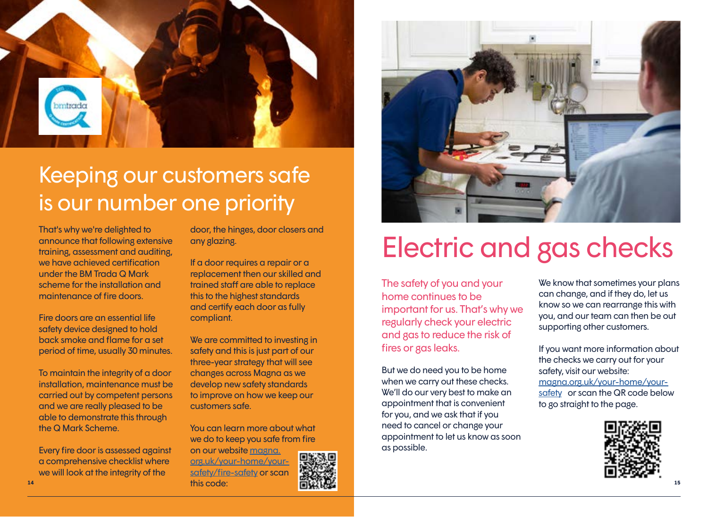

## Keeping our customers safe is our number one priority

That's why we're delighted to announce that following extensive training, assessment and auditing, we have achieved certification under the BM Trada Q Mark scheme for the installation and maintenance of fire doors.

Fire doors are an essential life safety device designed to hold back smoke and flame for a set period of time, usually 30 minutes.

To maintain the integrity of a door installation, maintenance must be carried out by competent persons and we are really pleased to be able to demonstrate this through the Q Mark Scheme.

Every fire door is assessed against a comprehensive checklist where we will look at the integrity of the

door, the hinges, door closers and any glazing.

If a door requires a repair or a replacement then our skilled and trained staff are able to replace this to the highest standards and certify each door as fully compliant.

We are committed to investing in safety and this is just part of our three-year strategy that will see changes across Magna as we develop new safety standards to improve on how we keep our customers safe.

You can learn more about what we do to keep you safe from fire

on our website [magna.](www.magna.org.uk/your-home/your-safety/fire-safety) [org.uk/your-home/your](www.magna.org.uk/your-home/your-safety/fire-safety)[safety/fire-safety](www.magna.org.uk/your-home/your-safety/fire-safety) or scan this code:





# Electric and gas checks

The safety of you and your home continues to be important for us. That's why we regularly check your electric and gas to reduce the risk of fires or gas leaks.

But we do need you to be home when we carry out these checks. We'll do our very best to make an appointment that is convenient for you, and we ask that if you need to cancel or change your appointment to let us know as soon as possible.

We know that sometimes your plans can change, and if they do, let us know so we can rearrange this with you, and our team can then be out supporting other customers.

If you want more information about the checks we carry out for your safety, visit our website: [magna.org.uk/your-home/your](http://www.magna.org.uk/your-home/your-safety)[safety](http://www.magna.org.uk/your-home/your-safety) or scan the QR code below to go straight to the page.

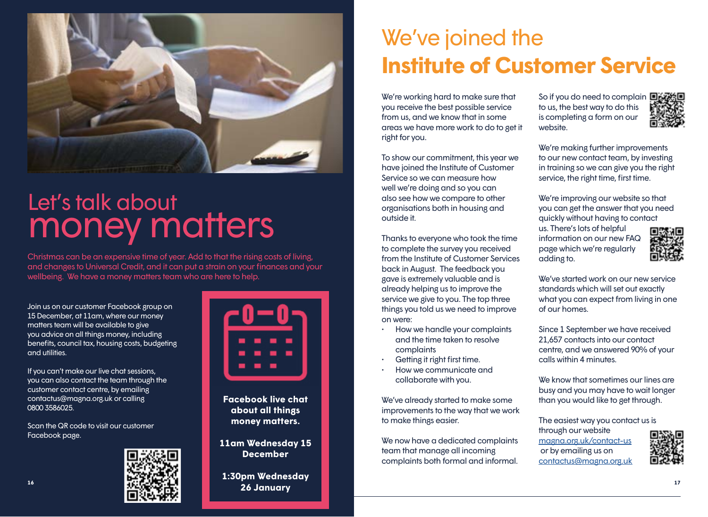<span id="page-8-0"></span>

# Let's talk about money matters

Christmas can be an expensive time of year. Add to that the rising costs of living, and changes to Universal Credit, and it can put a strain on your finances and your wellbeing. We have a money matters team who are here to help.

Join us on our customer Facebook group on 15 December, at 11am, where our money matters team will be available to give you advice on all things money, including benefits, council tax, housing costs, budgeting and utilities.

If you can't make our live chat sessions, you can also contact the team through the customer contact centre, by emailing contactus@magna.org.uk or calling 0800 3586025.

Scan the QR code to visit our customer Facebook page.





**Facebook live chat about all things money matters.** 

**11am Wednesday 15 December**

**1:30pm Wednesday 26 January**

## We've joined the **Institute of Customer Service**

We're working hard to make sure that you receive the best possible service from us, and we know that in some areas we have more work to do to get it right for you.

To show our commitment, this year we have joined the Institute of Customer Service so we can measure how well we're doing and so you can also see how we compare to other organisations both in housing and outside it.

Thanks to everyone who took the time to complete the survey you received from the Institute of Customer Services back in August. The feedback you gave is extremely valuable and is already helping us to improve the service we give to you. The top three things you told us we need to improve on were:

- How we handle your complaints and the time taken to resolve complaints
- Getting it right first time.
- How we communicate and collaborate with you.

We've already started to make some improvements to the way that we work to make things easier.

We now have a dedicated complaints team that manage all incoming complaints both formal and informal.

So if you do need to complain  $\blacksquare$ to us, the best way to do this is completing a form on our website.

We're making further improvements to our new contact team, by investing in training so we can give you the right service, the right time, first time.

We're improving our website so that you can get the answer that you need quickly without having to contact

us. There's lots of helpful information on our new FAQ page which we're regularly adding to.



We've started work on our new service standards which will set out exactly what you can expect from living in one of our homes.

Since 1 September we have received 21,657 contacts into our contact centre, and we answered 90% of your calls within 4 minutes.

We know that sometimes our lines are busy and you may have to wait longer than you would like to get through.

The easiest way you contact us is through our website <magna.org.uk/contact-us> or by emailing us on [contactus@magna.org.uk](mailto:contactus%40magna.org.uk?subject=)

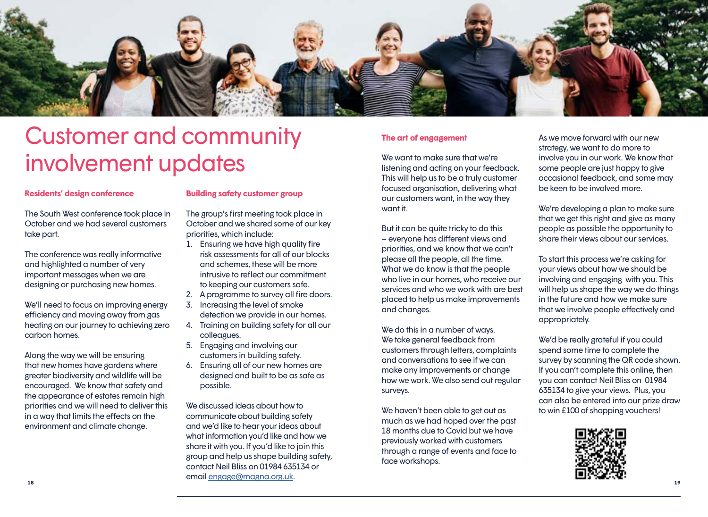<span id="page-9-0"></span>

## Customer and community involvement updates

#### **Residents' design conference**

The South West conference took place in October and we had several customers take part.

The conference was really informative and highlighted a number of very important messages when we are designing or purchasing new homes.

We'll need to focus on improving energy efficiency and moving away from gas heating on our journey to achieving zero carbon homes.

Along the way we will be ensuring that new homes have gardens where greater biodiversity and wildlife will be encouraged. We know that safety and the appearance of estates remain high priorities and we will need to deliver this in a way that limits the effects on the environment and climate change.

#### **Building safety customer group**

The group's first meeting took place in October and we shared some of our key priorities, which include:

- 1. Ensuring we have high quality fire risk assessments for all of our blocks and schemes, these will be more intrusive to reflect our commitment to keeping our customers safe.
- 2. A programme to survey all fire doors.
- 3. Increasing the level of smoke detection we provide in our homes.
- 4. Training on building safety for all our colleagues.
- 5. Engaging and involving our customers in building safety.
- 6. Ensuring all of our new homes are designed and built to be as safe as possible.

We discussed ideas about how to communicate about building safety and we'd like to hear your ideas about what information you'd like and how we share it with you. If you'd like to join this group and help us shape building safety, contact Neil Bliss on 01984 635134 or email [engage@magna.org.uk.](mailto:engage%40magna.org.uk?subject=)

#### **The art of engagement**

We want to make sure that we're listening and acting on your feedback. This will help us to be a truly customer focused organisation, delivering what our customers want, in the way they want it.

But it can be quite tricky to do this – everyone has different views and priorities, and we know that we can't please all the people, all the time. What we do know is that the people who live in our homes, who receive our services and who we work with are best placed to help us make improvements and changes.

We do this in a number of ways. We take general feedback from customers through letters, complaints and conversations to see if we can make any improvements or change how we work. We also send out regular surveys.

We haven't been able to get out as much as we had hoped over the past 18 months due to Covid but we have previously worked with customers through a range of events and face to face workshops.

As we move forward with our new strategy, we want to do more to involve you in our work. We know that some people are just happy to give occasional feedback, and some may be keen to be involved more.

We're developing a plan to make sure that we get this right and give as many people as possible the opportunity to share their views about our services.

To start this process we're asking for your views about how we should be involving and engaging with you. This will help us shape the way we do things in the future and how we make sure that we involve people effectively and appropriately.

We'd be really grateful if you could spend some time to complete the survey by scanning the QR code shown. If you can't complete this online, then you can contact Neil Bliss on 01984 635134 to give your views. Plus, you can also be entered into our prize draw to win £100 of shopping vouchers!

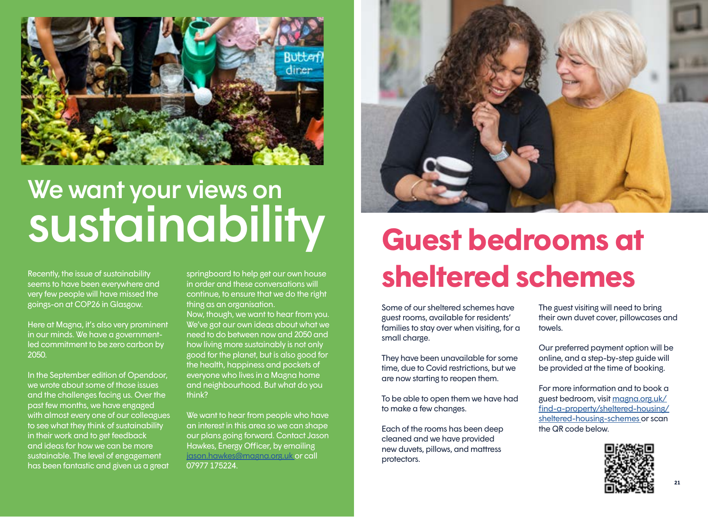

# We want your views on sustainability

Recently, the issue of sustainability seems to have been everywhere and very few people will have missed the goings-on at COP26 in Glasgow.

Here at Magna, it's also very prominent in our minds. We have a governmentled commitment to be zero carbon by 2050.

In the September edition of Opendoor, we wrote about some of those issues and the challenges facing us. Over the past few months, we have engaged with almost every one of our colleagues to see what they think of sustainability in their work and to get feedback and ideas for how we can be more sustainable. The level of engagement has been fantastic and given us a great

springboard to help get our own house in order and these conversations will continue, to ensure that we do the right thing as an organisation.

Now, though, we want to hear from you. We've got our own ideas about what we need to do between now and 2050 and how living more sustainably is not only good for the planet, but is also good for the health, happiness and pockets of everyone who lives in a Magna home and neighbourhood. But what do you think?

We want to hear from people who have an interest in this area so we can shape our plans going forward. Contact Jason Hawkes, Energy Officer, by emailing [jason.hawkes@magna.org.uk o](mailto:jason.hawkes%40magna.org.uk%20?subject=)r call 07977 175224.



# **Guest bedrooms at sheltered schemes**

Some of our sheltered schemes have guest rooms, available for residents' families to stay over when visiting, for a small charge.

They have been unavailable for some time, due to Covid restrictions, but we are now starting to reopen them.

To be able to open them we have had to make a few changes.

Each of the rooms has been deep cleaned and we have provided new duvets, pillows, and mattress protectors.

The guest visiting will need to bring their own duvet cover, pillowcases and towels.

Our preferred payment option will be online, and a step-by-step guide will be provided at the time of booking.

For more information and to book a guest bedroom, visit [magna.org.uk/](http://magna.org.uk/find-a-property/sheltered-housing/sheltered-housing-schemes ) [find-a-property/sheltered-housing/](http://magna.org.uk/find-a-property/sheltered-housing/sheltered-housing-schemes ) [sheltered-housing-schemes o](http://magna.org.uk/find-a-property/sheltered-housing/sheltered-housing-schemes )r scan the QR code below.

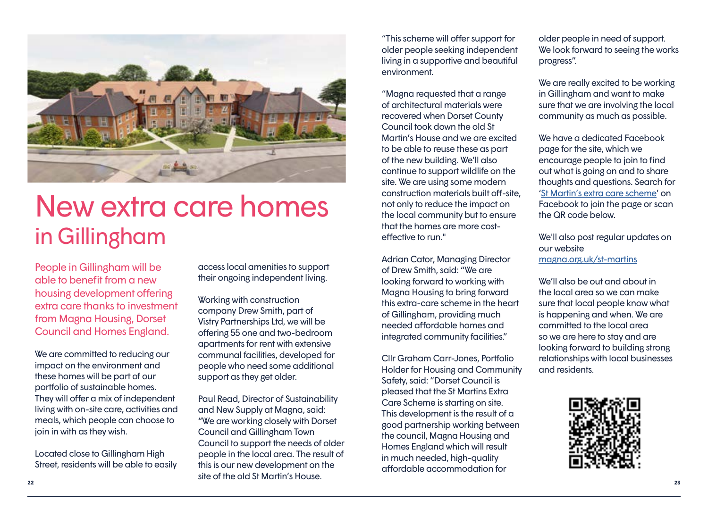

# New extra care homes in Gillingham

People in Gillingham will be able to benefit from a new housing development offering extra care thanks to investment from Magna Housing, Dorset Council and Homes England.

We are committed to reducing our impact on the environment and these homes will be part of our portfolio of sustainable homes. They will offer a mix of independent living with on-site care, activities and meals, which people can choose to join in with as they wish.

Located close to Gillingham High Street, residents will be able to easily access local amenities to support their ongoing independent living.

Working with construction company Drew Smith, part of Vistry Partnerships Ltd, we will be offering 55 one and two-bedroom apartments for rent with extensive communal facilities, developed for people who need some additional support as they get older.

**22 23** Paul Read, Director of Sustainability and New Supply at Magna, said: "We are working closely with Dorset Council and Gillingham Town Council to support the needs of older people in the local area. The result of this is our new development on the site of the old St Martin's House.

"This scheme will offer support for older people seeking independent living in a supportive and beautiful environment.

"Magna requested that a range of architectural materials were recovered when Dorset County Council took down the old St Martin's House and we are excited to be able to reuse these as part of the new building. We'll also continue to support wildlife on the site. We are using some modern construction materials built off-site, not only to reduce the impact on the local community but to ensure that the homes are more costeffective to run."

Adrian Cator, Managing Director of Drew Smith, said: "We are looking forward to working with Magna Housing to bring forward this extra-care scheme in the heart of Gillingham, providing much needed affordable homes and integrated community facilities."

Cllr Graham Carr-Jones, Portfolio Holder for Housing and Community Safety, said: "Dorset Council is pleased that the St Martins Extra Care Scheme is starting on site. This development is the result of a good partnership working between the council, Magna Housing and Homes England which will result in much needed, high-quality affordable accommodation for

older people in need of support. We look forward to seeing the works progress".

We are really excited to be working in Gillingham and want to make sure that we are involving the local community as much as possible.

We have a dedicated Facebook page for the site, which we encourage people to join to find out what is going on and to share thoughts and questions. Search for ['St Martin's extra care scheme'](https://www.facebook.com/St-Martins-Extra-Care-Scheme-110491491443874) on Facebook to join the page or scan the QR code below.

We'll also post regular updates on our website [magna.org.uk/st-martins](www.magna.org.uk/st-martins)

We'll also be out and about in the local area so we can make sure that local people know what is happening and when. We are committed to the local area so we are here to stay and are looking forward to building strong relationships with local businesses and residents.